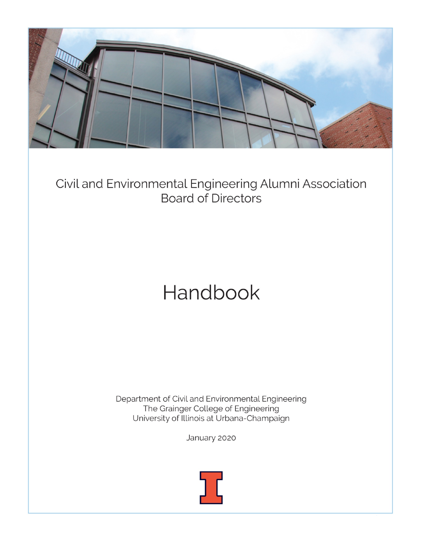

Civil and Environmental Engineering Alumni Association **Board of Directors** 

# Handbook

Department of Civil and Environmental Engineering The Grainger College of Engineering University of Illinois at Urbana-Champaign

January 2020



0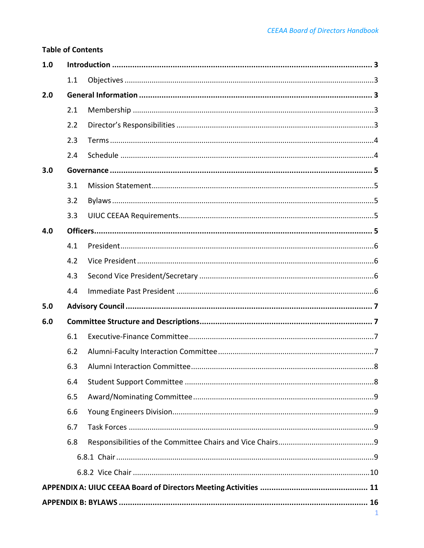# **Table of Contents**

| 1.0          |     |  |  |  |  |
|--------------|-----|--|--|--|--|
|              | 1.1 |  |  |  |  |
| 2.0          |     |  |  |  |  |
|              | 2.1 |  |  |  |  |
|              | 2.2 |  |  |  |  |
|              | 2.3 |  |  |  |  |
|              | 2.4 |  |  |  |  |
| 3.0          |     |  |  |  |  |
|              | 3.1 |  |  |  |  |
|              | 3.2 |  |  |  |  |
|              | 3.3 |  |  |  |  |
| 4.0          |     |  |  |  |  |
|              | 4.1 |  |  |  |  |
|              | 4.2 |  |  |  |  |
|              | 4.3 |  |  |  |  |
|              | 4.4 |  |  |  |  |
| 5.0          |     |  |  |  |  |
| 6.0          |     |  |  |  |  |
|              | 6.1 |  |  |  |  |
|              | 6.2 |  |  |  |  |
|              | 6.3 |  |  |  |  |
|              | 6.4 |  |  |  |  |
|              | 6.5 |  |  |  |  |
|              | 6.6 |  |  |  |  |
|              | 6.7 |  |  |  |  |
|              | 6.8 |  |  |  |  |
|              |     |  |  |  |  |
|              |     |  |  |  |  |
|              |     |  |  |  |  |
| $\mathbf{1}$ |     |  |  |  |  |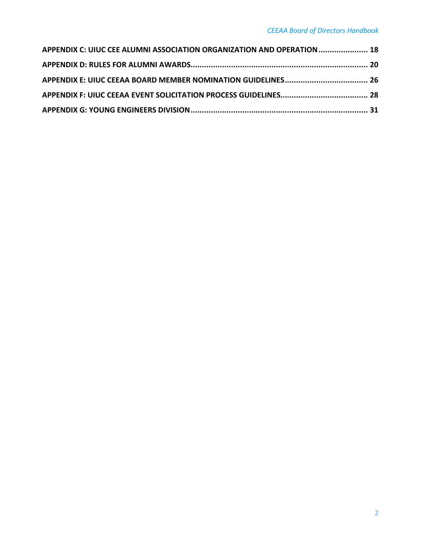| APPENDIX C: UIUC CEE ALUMNI ASSOCIATION ORGANIZATION AND OPERATION  18 |  |
|------------------------------------------------------------------------|--|
|                                                                        |  |
|                                                                        |  |
|                                                                        |  |
|                                                                        |  |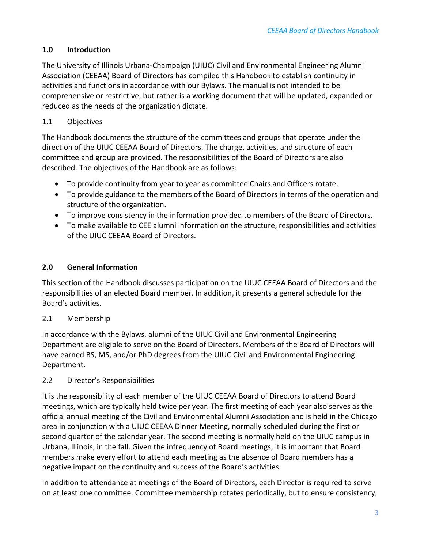# <span id="page-4-0"></span>**1.0 Introduction**

The University of Illinois Urbana-Champaign (UIUC) Civil and Environmental Engineering Alumni Association (CEEAA) Board of Directors has compiled this Handbook to establish continuity in activities and functions in accordance with our Bylaws. The manual is not intended to be comprehensive or restrictive, but rather is a working document that will be updated, expanded or reduced as the needs of the organization dictate.

# <span id="page-4-1"></span>1.1 Objectives

The Handbook documents the structure of the committees and groups that operate under the direction of the UIUC CEEAA Board of Directors. The charge, activities, and structure of each committee and group are provided. The responsibilities of the Board of Directors are also described. The objectives of the Handbook are as follows:

- To provide continuity from year to year as committee Chairs and Officers rotate.
- To provide guidance to the members of the Board of Directors in terms of the operation and structure of the organization.
- To improve consistency in the information provided to members of the Board of Directors.
- To make available to CEE alumni information on the structure, responsibilities and activities of the UIUC CEEAA Board of Directors.

# <span id="page-4-2"></span>**2.0 General Information**

This section of the Handbook discusses participation on the UIUC CEEAA Board of Directors and the responsibilities of an elected Board member. In addition, it presents a general schedule for the Board's activities.

# <span id="page-4-3"></span>2.1 Membership

In accordance with the Bylaws, alumni of the UIUC Civil and Environmental Engineering Department are eligible to serve on the Board of Directors. Members of the Board of Directors will have earned BS, MS, and/or PhD degrees from the UIUC Civil and Environmental Engineering Department.

# <span id="page-4-4"></span>2.2 Director's Responsibilities

It is the responsibility of each member of the UIUC CEEAA Board of Directors to attend Board meetings, which are typically held twice per year. The first meeting of each year also serves as the official annual meeting of the Civil and Environmental Alumni Association and is held in the Chicago area in conjunction with a UIUC CEEAA Dinner Meeting, normally scheduled during the first or second quarter of the calendar year. The second meeting is normally held on the UIUC campus in Urbana, Illinois, in the fall. Given the infrequency of Board meetings, it is important that Board members make every effort to attend each meeting as the absence of Board members has a negative impact on the continuity and success of the Board's activities.

In addition to attendance at meetings of the Board of Directors, each Director is required to serve on at least one committee. Committee membership rotates periodically, but to ensure consistency,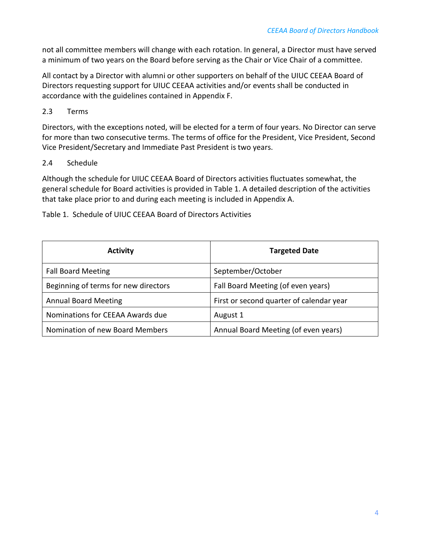not all committee members will change with each rotation. In general, a Director must have served a minimum of two years on the Board before serving as the Chair or Vice Chair of a committee.

All contact by a Director with alumni or other supporters on behalf of the UIUC CEEAA Board of Directors requesting support for UIUC CEEAA activities and/or events shall be conducted in accordance with the guidelines contained in Appendix F.

# <span id="page-5-0"></span>2.3 Terms

Directors, with the exceptions noted, will be elected for a term of four years. No Director can serve for more than two consecutive terms. The terms of office for the President, Vice President, Second Vice President/Secretary and Immediate Past President is two years.

# <span id="page-5-1"></span>2.4 Schedule

Although the schedule for UIUC CEEAA Board of Directors activities fluctuates somewhat, the general schedule for Board activities is provided in Table 1. A detailed description of the activities that take place prior to and during each meeting is included in Appendix A.

Table 1. Schedule of UIUC CEEAA Board of Directors Activities

| <b>Activity</b>                      | <b>Targeted Date</b>                     |
|--------------------------------------|------------------------------------------|
| <b>Fall Board Meeting</b>            | September/October                        |
| Beginning of terms for new directors | Fall Board Meeting (of even years)       |
| <b>Annual Board Meeting</b>          | First or second quarter of calendar year |
| Nominations for CEEAA Awards due     | August 1                                 |
| Nomination of new Board Members      | Annual Board Meeting (of even years)     |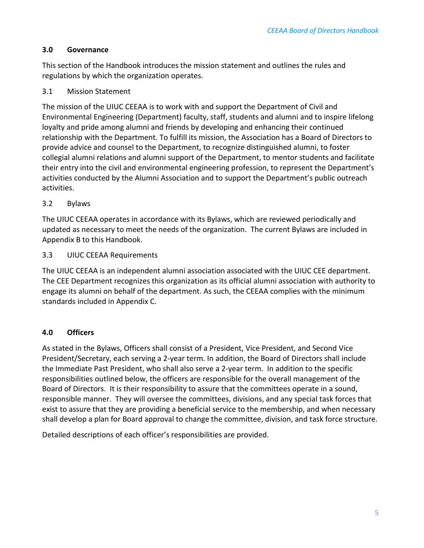# <span id="page-6-0"></span>**3.0 Governance**

This section of the Handbook introduces the mission statement and outlines the rules and regulations by which the organization operates.

# <span id="page-6-1"></span>3.1 Mission Statement

The mission of the UIUC CEEAA is to work with and support the Department of Civil and Environmental Engineering (Department) faculty, staff, students and alumni and to inspire lifelong loyalty and pride among alumni and friends by developing and enhancing their continued relationship with the Department. To fulfill its mission, the Association has a Board of Directors to provide advice and counsel to the Department, to recognize distinguished alumni, to foster collegial alumni relations and alumni support of the Department, to mentor students and facilitate their entry into the civil and environmental engineering profession, to represent the Department's activities conducted by the Alumni Association and to support the Department's public outreach activities.

## <span id="page-6-2"></span>3.2 Bylaws

The UIUC CEEAA operates in accordance with its Bylaws, which are reviewed periodically and updated as necessary to meet the needs of the organization. The current Bylaws are included in Appendix B to this Handbook.

## <span id="page-6-3"></span>3.3 UIUC CEEAA Requirements

The UIUC CEEAA is an independent alumni association associated with the UIUC CEE department. The CEE Department recognizes this organization as its official alumni association with authority to engage its alumni on behalf of the department. As such, the CEEAA complies with the minimum standards included in Appendix C.

# <span id="page-6-4"></span>**4.0 Officers**

As stated in the Bylaws, Officers shall consist of a President, Vice President, and Second Vice President/Secretary, each serving a 2-year term. In addition, the Board of Directors shall include the Immediate Past President, who shall also serve a 2-year term. In addition to the specific responsibilities outlined below, the officers are responsible for the overall management of the Board of Directors. It is their responsibility to assure that the committees operate in a sound, responsible manner. They will oversee the committees, divisions, and any special task forces that exist to assure that they are providing a beneficial service to the membership, and when necessary shall develop a plan for Board approval to change the committee, division, and task force structure.

Detailed descriptions of each officer's responsibilities are provided.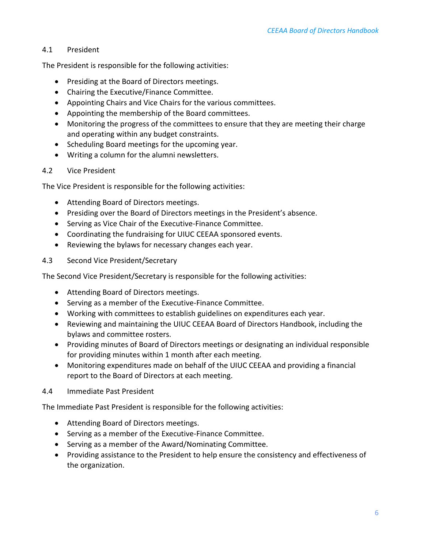## <span id="page-7-0"></span>4.1 President

The President is responsible for the following activities:

- Presiding at the Board of Directors meetings.
- Chairing the Executive/Finance Committee.
- Appointing Chairs and Vice Chairs for the various committees.
- Appointing the membership of the Board committees.
- Monitoring the progress of the committees to ensure that they are meeting their charge and operating within any budget constraints.
- Scheduling Board meetings for the upcoming year.
- Writing a column for the alumni newsletters.

## <span id="page-7-1"></span>4.2 Vice President

The Vice President is responsible for the following activities:

- Attending Board of Directors meetings.
- Presiding over the Board of Directors meetings in the President's absence.
- Serving as Vice Chair of the Executive-Finance Committee.
- Coordinating the fundraising for UIUC CEEAA sponsored events.
- Reviewing the bylaws for necessary changes each year.
- <span id="page-7-2"></span>4.3 Second Vice President/Secretary

The Second Vice President/Secretary is responsible for the following activities:

- Attending Board of Directors meetings.
- Serving as a member of the Executive-Finance Committee.
- Working with committees to establish guidelines on expenditures each year.
- Reviewing and maintaining the UIUC CEEAA Board of Directors Handbook, including the bylaws and committee rosters.
- Providing minutes of Board of Directors meetings or designating an individual responsible for providing minutes within 1 month after each meeting.
- Monitoring expenditures made on behalf of the UIUC CEEAA and providing a financial report to the Board of Directors at each meeting.
- <span id="page-7-3"></span>4.4 Immediate Past President

The Immediate Past President is responsible for the following activities:

- Attending Board of Directors meetings.
- Serving as a member of the Executive-Finance Committee.
- Serving as a member of the Award/Nominating Committee.
- Providing assistance to the President to help ensure the consistency and effectiveness of the organization.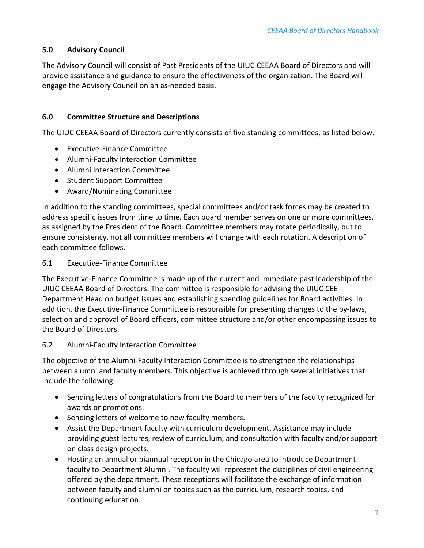# <span id="page-8-0"></span>**5.0 Advisory Council**

The Advisory Council will consist of Past Presidents of the UIUC CEEAA Board of Directors and will provide assistance and guidance to ensure the effectiveness of the organization. The Board will engage the Advisory Council on an as-needed basis.

## <span id="page-8-1"></span>**6.0 Committee Structure and Descriptions**

The UIUC CEEAA Board of Directors currently consists of five standing committees, as listed below.

- Executive-Finance Committee
- Alumni-Faculty Interaction Committee
- Alumni Interaction Committee
- Student Support Committee
- Award/Nominating Committee

In addition to the standing committees, special committees and/or task forces may be created to address specific issues from time to time. Each board member serves on one or more committees, as assigned by the President of the Board. Committee members may rotate periodically, but to ensure consistency, not all committee members will change with each rotation. A description of each committee follows.

#### <span id="page-8-2"></span>6.1 Executive-Finance Committee

The Executive-Finance Committee is made up of the current and immediate past leadership of the UIUC CEEAA Board of Directors. The committee is responsible for advising the UIUC CEE Department Head on budget issues and establishing spending guidelines for Board activities. In addition, the Executive-Finance Committee is responsible for presenting changes to the by-laws, selection and approval of Board officers, committee structure and/or other encompassing issues to the Board of Directors.

#### <span id="page-8-3"></span>6.2 Alumni-Faculty Interaction Committee

The objective of the Alumni-Faculty Interaction Committee is to strengthen the relationships between alumni and faculty members. This objective is achieved through several initiatives that include the following:

- Sending letters of congratulations from the Board to members of the faculty recognized for awards or promotions.
- Sending letters of welcome to new faculty members.
- Assist the Department faculty with curriculum development. Assistance may include providing guest lectures, review of curriculum, and consultation with faculty and/or support on class design projects.
- Hosting an annual or biannual reception in the Chicago area to introduce Department faculty to Department Alumni. The faculty will represent the disciplines of civil engineering offered by the department. These receptions will facilitate the exchange of information between faculty and alumni on topics such as the curriculum, research topics, and continuing education.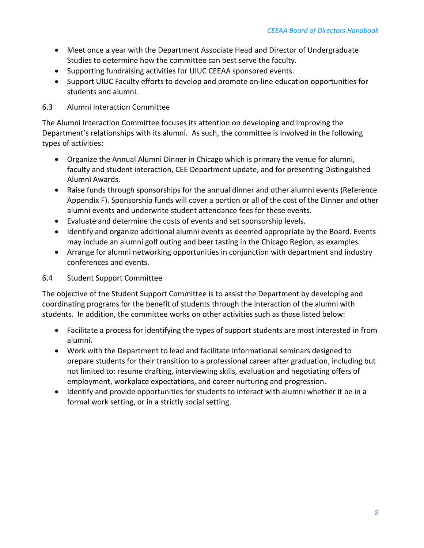- Meet once a year with the Department Associate Head and Director of Undergraduate Studies to determine how the committee can best serve the faculty.
- Supporting fundraising activities for UIUC CEEAA sponsored events.
- Support UIUC Faculty efforts to develop and promote on-line education opportunities for students and alumni.

# <span id="page-9-0"></span>6.3 Alumni Interaction Committee

The Alumni Interaction Committee focuses its attention on developing and improving the Department's relationships with its alumni. As such, the committee is involved in the following types of activities:

- Organize the Annual Alumni Dinner in Chicago which is primary the venue for alumni, faculty and student interaction, CEE Department update, and for presenting Distinguished Alumni Awards.
- Raise funds through sponsorships for the annual dinner and other alumni events (Reference Appendix F). Sponsorship funds will cover a portion or all of the cost of the Dinner and other alumni events and underwrite student attendance fees for these events.
- Evaluate and determine the costs of events and set sponsorship levels.
- Identify and organize additional alumni events as deemed appropriate by the Board. Events may include an alumni golf outing and beer tasting in the Chicago Region, as examples.
- Arrange for alumni networking opportunities in conjunction with department and industry conferences and events.

# <span id="page-9-1"></span>6.4 Student Support Committee

The objective of the Student Support Committee is to assist the Department by developing and coordinating programs for the benefit of students through the interaction of the alumni with students. In addition, the committee works on other activities such as those listed below:

- Facilitate a process for identifying the types of support students are most interested in from alumni.
- Work with the Department to lead and facilitate informational seminars designed to prepare students for their transition to a professional career after graduation, including but not limited to: resume drafting, interviewing skills, evaluation and negotiating offers of employment, workplace expectations, and career nurturing and progression.
- Identify and provide opportunities for students to interact with alumni whether it be in a formal work setting, or in a strictly social setting.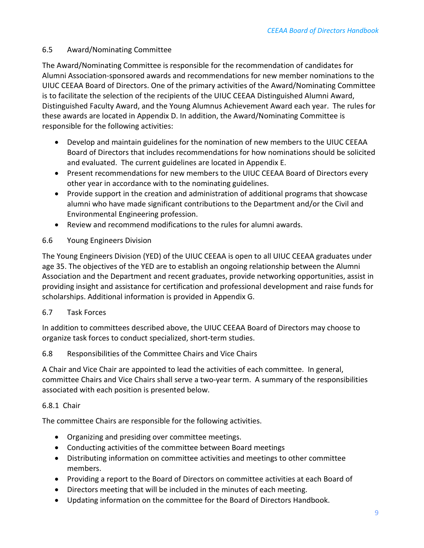## <span id="page-10-0"></span>6.5 Award/Nominating Committee

The Award/Nominating Committee is responsible for the recommendation of candidates for Alumni Association-sponsored awards and recommendations for new member nominations to the UIUC CEEAA Board of Directors. One of the primary activities of the Award/Nominating Committee is to facilitate the selection of the recipients of the UIUC CEEAA Distinguished Alumni Award, Distinguished Faculty Award, and the Young Alumnus Achievement Award each year. The rules for these awards are located in Appendix D. In addition, the Award/Nominating Committee is responsible for the following activities:

- Develop and maintain guidelines for the nomination of new members to the UIUC CEEAA Board of Directors that includes recommendations for how nominations should be solicited and evaluated. The current guidelines are located in Appendix E.
- Present recommendations for new members to the UIUC CEEAA Board of Directors every other year in accordance with to the nominating guidelines.
- Provide support in the creation and administration of additional programs that showcase alumni who have made significant contributions to the Department and/or the Civil and Environmental Engineering profession.
- Review and recommend modifications to the rules for alumni awards.

# <span id="page-10-1"></span>6.6 Young Engineers Division

The Young Engineers Division (YED) of the UIUC CEEAA is open to all UIUC CEEAA graduates under age 35. The objectives of the YED are to establish an ongoing relationship between the Alumni Association and the Department and recent graduates, provide networking opportunities, assist in providing insight and assistance for certification and professional development and raise funds for scholarships. Additional information is provided in Appendix G.

# <span id="page-10-2"></span>6.7 Task Forces

In addition to committees described above, the UIUC CEEAA Board of Directors may choose to organize task forces to conduct specialized, short-term studies.

# <span id="page-10-3"></span>6.8 Responsibilities of the Committee Chairs and Vice Chairs

A Chair and Vice Chair are appointed to lead the activities of each committee. In general, committee Chairs and Vice Chairs shall serve a two-year term. A summary of the responsibilities associated with each position is presented below.

# <span id="page-10-4"></span>6.8.1 Chair

The committee Chairs are responsible for the following activities.

- Organizing and presiding over committee meetings.
- Conducting activities of the committee between Board meetings
- Distributing information on committee activities and meetings to other committee members.
- Providing a report to the Board of Directors on committee activities at each Board of
- Directors meeting that will be included in the minutes of each meeting.
- Updating information on the committee for the Board of Directors Handbook.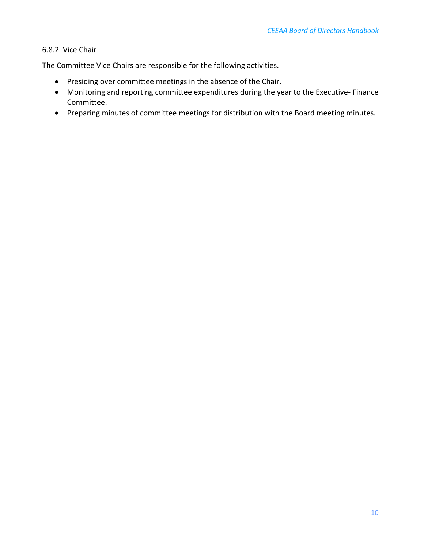## <span id="page-11-0"></span>6.8.2 Vice Chair

The Committee Vice Chairs are responsible for the following activities.

- Presiding over committee meetings in the absence of the Chair.
- Monitoring and reporting committee expenditures during the year to the Executive- Finance Committee.
- Preparing minutes of committee meetings for distribution with the Board meeting minutes.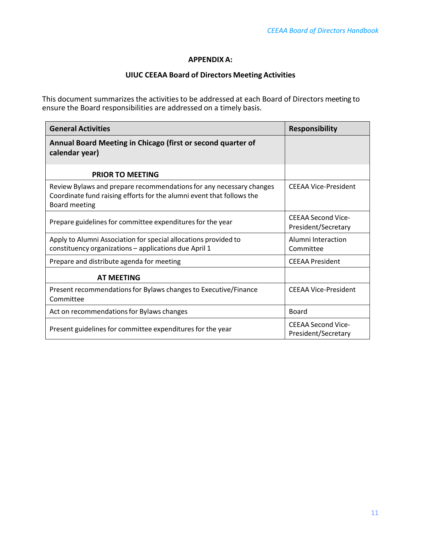#### **APPENDIX A:**

## **UIUC CEEAA Board of Directors Meeting Activities**

<span id="page-12-0"></span>This document summarizes the activities to be addressed at each Board of Directors meeting to ensure the Board responsibilities are addressed on a timely basis.

| <b>General Activities</b>                                                                                                                                     | <b>Responsibility</b>                            |
|---------------------------------------------------------------------------------------------------------------------------------------------------------------|--------------------------------------------------|
| Annual Board Meeting in Chicago (first or second quarter of<br>calendar year)                                                                                 |                                                  |
| <b>PRIOR TO MEETING</b>                                                                                                                                       |                                                  |
| Review Bylaws and prepare recommendations for any necessary changes<br>Coordinate fund raising efforts for the alumni event that follows the<br>Board meeting | CEEAA Vice-President                             |
| Prepare guidelines for committee expenditures for the year                                                                                                    | <b>CEEAA Second Vice-</b><br>President/Secretary |
| Apply to Alumni Association for special allocations provided to<br>constituency organizations - applications due April 1                                      | Alumni Interaction<br>Committee                  |
| Prepare and distribute agenda for meeting                                                                                                                     | <b>CEEAA President</b>                           |
| <b>AT MEETING</b>                                                                                                                                             |                                                  |
| Present recommendations for Bylaws changes to Executive/Finance<br>Committee                                                                                  | <b>CEEAA Vice-President</b>                      |
| Act on recommendations for Bylaws changes                                                                                                                     | Board                                            |
| Present guidelines for committee expenditures for the year                                                                                                    | <b>CEEAA Second Vice-</b><br>President/Secretary |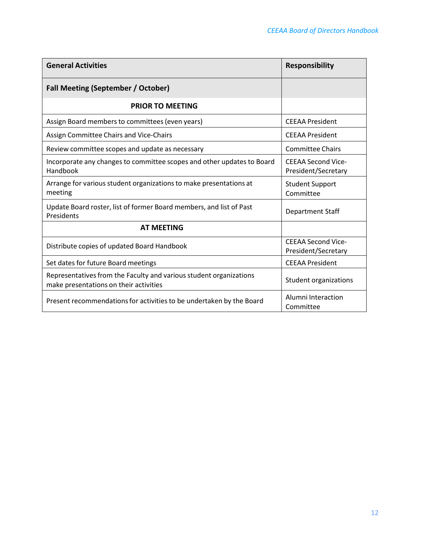| <b>General Activities</b>                                                                                    | <b>Responsibility</b>                            |
|--------------------------------------------------------------------------------------------------------------|--------------------------------------------------|
| <b>Fall Meeting (September / October)</b>                                                                    |                                                  |
| <b>PRIOR TO MEETING</b>                                                                                      |                                                  |
| Assign Board members to committees (even years)                                                              | <b>CEEAA President</b>                           |
| Assign Committee Chairs and Vice-Chairs                                                                      | <b>CEEAA President</b>                           |
| Review committee scopes and update as necessary                                                              | <b>Committee Chairs</b>                          |
| Incorporate any changes to committee scopes and other updates to Board<br>Handbook                           | <b>CEEAA Second Vice-</b><br>President/Secretary |
| Arrange for various student organizations to make presentations at<br>meeting                                | <b>Student Support</b><br>Committee              |
| Update Board roster, list of former Board members, and list of Past<br>Presidents                            | <b>Department Staff</b>                          |
| <b>AT MEETING</b>                                                                                            |                                                  |
| Distribute copies of updated Board Handbook                                                                  | <b>CEEAA Second Vice-</b><br>President/Secretary |
| Set dates for future Board meetings                                                                          | <b>CEEAA President</b>                           |
| Representatives from the Faculty and various student organizations<br>make presentations on their activities | <b>Student organizations</b>                     |
| Present recommendations for activities to be undertaken by the Board                                         | Alumni Interaction<br>Committee                  |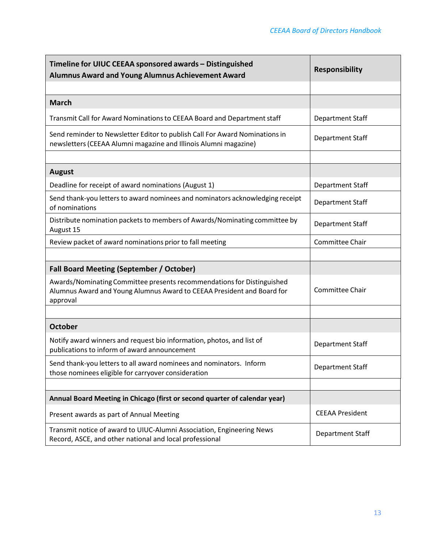| Timeline for UIUC CEEAA sponsored awards - Distinguished<br><b>Alumnus Award and Young Alumnus Achievement Award</b>                                         | <b>Responsibility</b>   |
|--------------------------------------------------------------------------------------------------------------------------------------------------------------|-------------------------|
|                                                                                                                                                              |                         |
| <b>March</b>                                                                                                                                                 |                         |
| Transmit Call for Award Nominations to CEEAA Board and Department staff                                                                                      | Department Staff        |
| Send reminder to Newsletter Editor to publish Call For Award Nominations in<br>newsletters (CEEAA Alumni magazine and Illinois Alumni magazine)              | Department Staff        |
|                                                                                                                                                              |                         |
| <b>August</b>                                                                                                                                                |                         |
| Deadline for receipt of award nominations (August 1)                                                                                                         | Department Staff        |
| Send thank-you letters to award nominees and nominators acknowledging receipt<br>of nominations                                                              | Department Staff        |
| Distribute nomination packets to members of Awards/Nominating committee by<br>August 15                                                                      | Department Staff        |
| Review packet of award nominations prior to fall meeting                                                                                                     | Committee Chair         |
|                                                                                                                                                              |                         |
| <b>Fall Board Meeting (September / October)</b>                                                                                                              |                         |
| Awards/Nominating Committee presents recommendations for Distinguished<br>Alumnus Award and Young Alumnus Award to CEEAA President and Board for<br>approval | Committee Chair         |
|                                                                                                                                                              |                         |
| <b>October</b>                                                                                                                                               |                         |
| Notify award winners and request bio information, photos, and list of<br>publications to inform of award announcement                                        | <b>Department Staff</b> |
| Send thank-you letters to all award nominees and nominators. Inform<br>those nominees eligible for carryover consideration                                   | Department Staff        |
|                                                                                                                                                              |                         |
| Annual Board Meeting in Chicago (first or second quarter of calendar year)                                                                                   |                         |
| Present awards as part of Annual Meeting                                                                                                                     | <b>CEEAA President</b>  |
| Transmit notice of award to UIUC-Alumni Association, Engineering News<br>Record, ASCE, and other national and local professional                             | Department Staff        |

/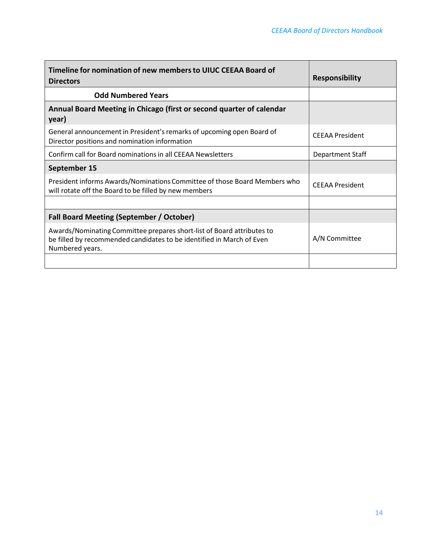| Timeline for nomination of new members to UIUC CEEAA Board of<br><b>Directors</b>                                                                                  | <b>Responsibility</b>  |
|--------------------------------------------------------------------------------------------------------------------------------------------------------------------|------------------------|
| <b>Odd Numbered Years</b>                                                                                                                                          |                        |
| Annual Board Meeting in Chicago (first or second quarter of calendar<br>year)                                                                                      |                        |
| General announcement in President's remarks of upcoming open Board of<br>Director positions and nomination information                                             | <b>CEEAA President</b> |
| Confirm call for Board nominations in all CEEAA Newsletters                                                                                                        | Department Staff       |
| September 15                                                                                                                                                       |                        |
| President informs Awards/Nominations Committee of those Board Members who<br>will rotate off the Board to be filled by new members                                 | <b>CEEAA President</b> |
|                                                                                                                                                                    |                        |
| <b>Fall Board Meeting (September / October)</b>                                                                                                                    |                        |
| Awards/Nominating Committee prepares short-list of Board attributes to<br>be filled by recommended candidates to be identified in March of Even<br>Numbered years. | A/N Committee          |
|                                                                                                                                                                    |                        |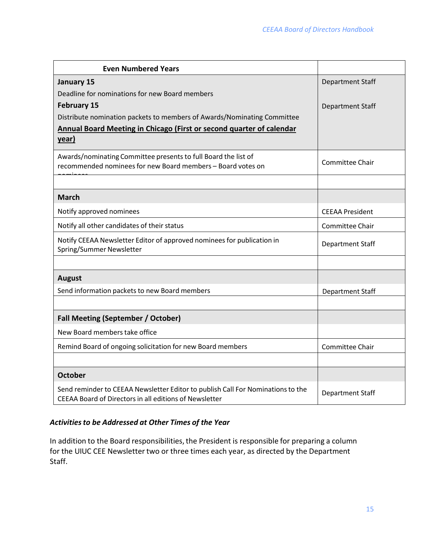| <b>Even Numbered Years</b>                                                                                                                |                         |
|-------------------------------------------------------------------------------------------------------------------------------------------|-------------------------|
| January 15                                                                                                                                | <b>Department Staff</b> |
| Deadline for nominations for new Board members                                                                                            |                         |
| <b>February 15</b>                                                                                                                        | <b>Department Staff</b> |
| Distribute nomination packets to members of Awards/Nominating Committee                                                                   |                         |
| Annual Board Meeting in Chicago (First or second quarter of calendar                                                                      |                         |
| year)                                                                                                                                     |                         |
| Awards/nominating Committee presents to full Board the list of<br>recommended nominees for new Board members - Board votes on             | Committee Chair         |
|                                                                                                                                           |                         |
| <b>March</b>                                                                                                                              |                         |
| Notify approved nominees                                                                                                                  | <b>CEEAA President</b>  |
| Notify all other candidates of their status                                                                                               | Committee Chair         |
| Notify CEEAA Newsletter Editor of approved nominees for publication in<br>Spring/Summer Newsletter                                        | Department Staff        |
|                                                                                                                                           |                         |
| <b>August</b>                                                                                                                             |                         |
| Send information packets to new Board members                                                                                             | Department Staff        |
|                                                                                                                                           |                         |
| <b>Fall Meeting (September / October)</b>                                                                                                 |                         |
| New Board members take office                                                                                                             |                         |
| Remind Board of ongoing solicitation for new Board members                                                                                | Committee Chair         |
|                                                                                                                                           |                         |
| <b>October</b>                                                                                                                            |                         |
| Send reminder to CEEAA Newsletter Editor to publish Call For Nominations to the<br>CEEAA Board of Directors in all editions of Newsletter | Department Staff        |

# *Activitiesto be Addressed at Other Times of the Year*

In addition to the Board responsibilities, the President is responsible for preparing a column for the UIUC CEE Newsletter two or three times each year, as directed by the Department Staff.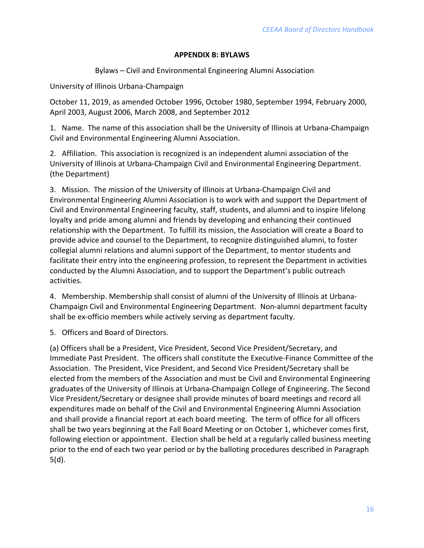## **APPENDIX B: BYLAWS**

Bylaws – Civil and Environmental Engineering Alumni Association

<span id="page-18-0"></span>University of Illinois Urbana-Champaign

October 11, 2019, as amended October 1996, October 1980, September 1994, February 2000, April 2003, August 2006, March 2008, and September 2012

1. Name. The name of this association shall be the University of Illinois at Urbana-Champaign Civil and Environmental Engineering Alumni Association.

2. Affiliation. This association is recognized is an independent alumni association of the University of Illinois at Urbana-Champaign Civil and Environmental Engineering Department. (the Department)

3. Mission. The mission of the University of Illinois at Urbana-Champaign Civil and Environmental Engineering Alumni Association is to work with and support the Department of Civil and Environmental Engineering faculty, staff, students, and alumni and to inspire lifelong loyalty and pride among alumni and friends by developing and enhancing their continued relationship with the Department. To fulfill its mission, the Association will create a Board to provide advice and counsel to the Department, to recognize distinguished alumni, to foster collegial alumni relations and alumni support of the Department, to mentor students and facilitate their entry into the engineering profession, to represent the Department in activities conducted by the Alumni Association, and to support the Department's public outreach activities.

4. Membership. Membership shall consist of alumni of the University of Illinois at Urbana-Champaign Civil and Environmental Engineering Department. Non-alumni department faculty shall be ex-officio members while actively serving as department faculty.

5. Officers and Board of Directors.

(a) Officers shall be a President, Vice President, Second Vice President/Secretary, and Immediate Past President. The officers shall constitute the Executive-Finance Committee of the Association. The President, Vice President, and Second Vice President/Secretary shall be elected from the members of the Association and must be Civil and Environmental Engineering graduates of the University of Illinois at Urbana-Champaign College of Engineering. The Second Vice President/Secretary or designee shall provide minutes of board meetings and record all expenditures made on behalf of the Civil and Environmental Engineering Alumni Association and shall provide a financial report at each board meeting. The term of office for all officers shall be two years beginning at the Fall Board Meeting or on October 1, whichever comes first, following election or appointment. Election shall be held at a regularly called business meeting prior to the end of each two year period or by the balloting procedures described in Paragraph 5(d).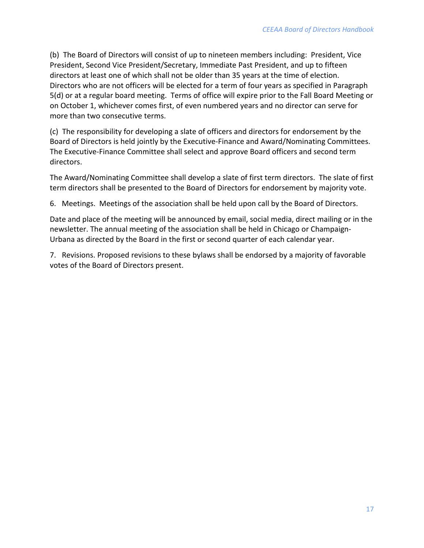(b) The Board of Directors will consist of up to nineteen members including: President, Vice President, Second Vice President/Secretary, Immediate Past President, and up to fifteen directors at least one of which shall not be older than 35 years at the time of election. Directors who are not officers will be elected for a term of four years as specified in Paragraph 5(d) or at a regular board meeting. Terms of office will expire prior to the Fall Board Meeting or on October 1, whichever comes first, of even numbered years and no director can serve for more than two consecutive terms.

(c) The responsibility for developing a slate of officers and directors for endorsement by the Board of Directors is held jointly by the Executive-Finance and Award/Nominating Committees. The Executive-Finance Committee shall select and approve Board officers and second term directors.

The Award/Nominating Committee shall develop a slate of first term directors. The slate of first term directors shall be presented to the Board of Directors for endorsement by majority vote.

6. Meetings. Meetings of the association shall be held upon call by the Board of Directors.

Date and place of the meeting will be announced by email, social media, direct mailing or in the newsletter. The annual meeting of the association shall be held in Chicago or Champaign-Urbana as directed by the Board in the first or second quarter of each calendar year.

7. Revisions. Proposed revisions to these bylaws shall be endorsed by a majority of favorable votes of the Board of Directors present.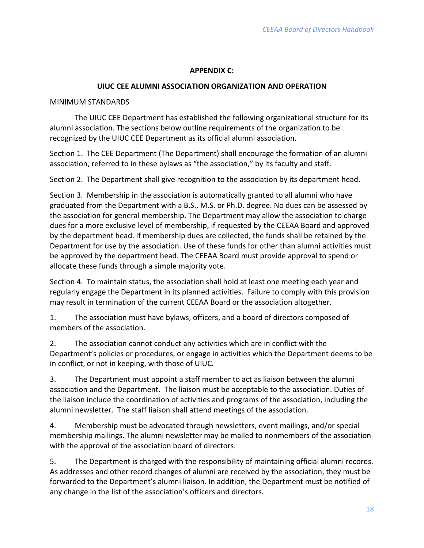## **APPENDIX C:**

#### **UIUC CEE ALUMNI ASSOCIATION ORGANIZATION AND OPERATION**

#### <span id="page-20-0"></span>MINIMUM STANDARDS

The UIUC CEE Department has established the following organizational structure for its alumni association. The sections below outline requirements of the organization to be recognized by the UIUC CEE Department as its official alumni association.

Section 1. The CEE Department (The Department) shall encourage the formation of an alumni association, referred to in these bylaws as "the association," by its faculty and staff.

Section 2. The Department shall give recognition to the association by its department head.

Section 3. Membership in the association is automatically granted to all alumni who have graduated from the Department with a B.S., M.S. or Ph.D. degree. No dues can be assessed by the association for general membership. The Department may allow the association to charge dues for a more exclusive level of membership, if requested by the CEEAA Board and approved by the department head. If membership dues are collected, the funds shall be retained by the Department for use by the association. Use of these funds for other than alumni activities must be approved by the department head. The CEEAA Board must provide approval to spend or allocate these funds through a simple majority vote.

Section 4. To maintain status, the association shall hold at least one meeting each year and regularly engage the Department in its planned activities. Failure to comply with this provision may result in termination of the current CEEAA Board or the association altogether.

1. The association must have bylaws, officers, and a board of directors composed of members of the association.

2. The association cannot conduct any activities which are in conflict with the Department's policies or procedures, or engage in activities which the Department deems to be in conflict, or not in keeping, with those of UIUC.

3. The Department must appoint a staff member to act as liaison between the alumni association and the Department. The liaison must be acceptable to the association. Duties of the liaison include the coordination of activities and programs of the association, including the alumni newsletter. The staff liaison shall attend meetings of the association.

4. Membership must be advocated through newsletters, event mailings, and/or special membership mailings. The alumni newsletter may be mailed to nonmembers of the association with the approval of the association board of directors.

5. The Department is charged with the responsibility of maintaining official alumni records. As addresses and other record changes of alumni are received by the association, they must be forwarded to the Department's alumni liaison. In addition, the Department must be notified of any change in the list of the association's officers and directors.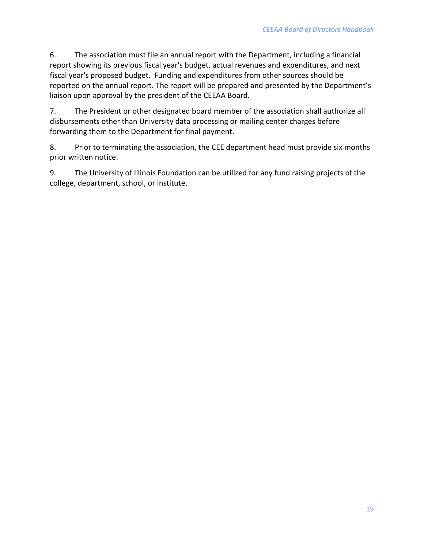6. The association must file an annual report with the Department, including a financial report showing its previous fiscal year's budget, actual revenues and expenditures, and next fiscal year's proposed budget. Funding and expenditures from other sources should be reported on the annual report. The report will be prepared and presented by the Department's liaison upon approval by the president of the CEEAA Board.

7. The President or other designated board member of the association shall authorize all disbursements other than University data processing or mailing center charges before forwarding them to the Department for final payment.

8. Prior to terminating the association, the CEE department head must provide six months prior written notice.

9. The University of Illinois Foundation can be utilized for any fund raising projects of the college, department, school, or institute.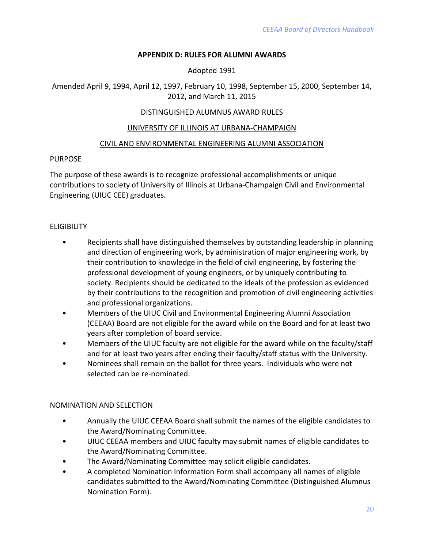## **APPENDIX D: RULES FOR ALUMNI AWARDS**

Adopted 1991

<span id="page-22-0"></span>Amended April 9, 1994, April 12, 1997, February 10, 1998, September 15, 2000, September 14, 2012, and March 11, 2015

## DISTINGUISHED ALUMNUS AWARD RULES

#### UNIVERSITY OF ILLINOIS AT URBANA-CHAMPAIGN

#### CIVIL AND ENVIRONMENTAL ENGINEERING ALUMNI ASSOCIATION

#### PURPOSE

The purpose of these awards is to recognize professional accomplishments or unique contributions to society of University of Illinois at Urbana-Champaign Civil and Environmental Engineering (UIUC CEE) graduates.

## **ELIGIBILITY**

- Recipients shall have distinguished themselves by outstanding leadership in planning and direction of engineering work, by administration of major engineering work, by their contribution to knowledge in the field of civil engineering, by fostering the professional development of young engineers, or by uniquely contributing to society. Recipients should be dedicated to the ideals of the profession as evidenced by their contributions to the recognition and promotion of civil engineering activities and professional organizations.
- Members of the UIUC Civil and Environmental Engineering Alumni Association (CEEAA) Board are not eligible for the award while on the Board and for at least two years after completion of board service.
- Members of the UIUC faculty are not eligible for the award while on the faculty/staff and for at least two years after ending their faculty/staff status with the University.
- Nominees shall remain on the ballot for three years. Individuals who were not selected can be re-nominated.

#### NOMINATION AND SELECTION

- Annually the UIUC CEEAA Board shall submit the names of the eligible candidates to the Award/Nominating Committee.
- UIUC CEEAA members and UIUC faculty may submit names of eligible candidates to the Award/Nominating Committee.
- The Award/Nominating Committee may solicit eligible candidates.
- A completed Nomination Information Form shall accompany all names of eligible candidates submitted to the Award/Nominating Committee (Distinguished Alumnus Nomination Form).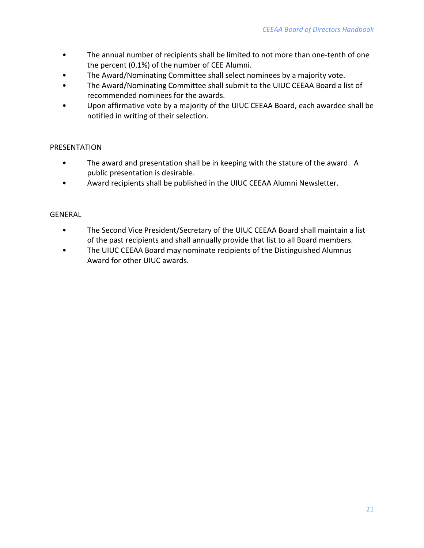- The annual number of recipients shall be limited to not more than one-tenth of one the percent (0.1%) of the number of CEE Alumni.
- The Award/Nominating Committee shall select nominees by a majority vote.
- The Award/Nominating Committee shall submit to the UIUC CEEAA Board a list of recommended nominees for the awards.
- Upon affirmative vote by a majority of the UIUC CEEAA Board, each awardee shall be notified in writing of their selection.

## PRESENTATION

- The award and presentation shall be in keeping with the stature of the award. A public presentation is desirable.
- Award recipients shall be published in the UIUC CEEAA Alumni Newsletter.

## GENERAL

- The Second Vice President/Secretary of the UIUC CEEAA Board shall maintain a list of the past recipients and shall annually provide that list to all Board members.
- The UIUC CEEAA Board may nominate recipients of the Distinguished Alumnus Award for other UIUC awards.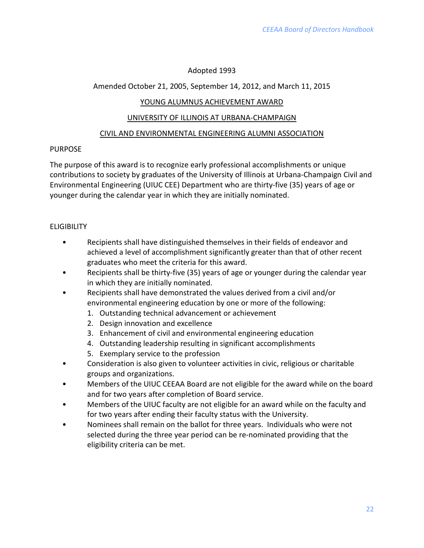# Adopted 1993

# Amended October 21, 2005, September 14, 2012, and March 11, 2015

# YOUNG ALUMNUS ACHIEVEMENT AWARD

## UNIVERSITY OF ILLINOIS AT URBANA-CHAMPAIGN

## CIVIL AND ENVIRONMENTAL ENGINEERING ALUMNI ASSOCIATION

# PURPOSE

The purpose of this award is to recognize early professional accomplishments or unique contributions to society by graduates of the University of Illinois at Urbana-Champaign Civil and Environmental Engineering (UIUC CEE) Department who are thirty-five (35) years of age or younger during the calendar year in which they are initially nominated.

# **ELIGIBILITY**

- Recipients shall have distinguished themselves in their fields of endeavor and achieved a level of accomplishment significantly greater than that of other recent graduates who meet the criteria for this award.
- Recipients shall be thirty-five (35) years of age or younger during the calendar year in which they are initially nominated.
- Recipients shall have demonstrated the values derived from a civil and/or environmental engineering education by one or more of the following:
	- 1. Outstanding technical advancement or achievement
	- 2. Design innovation and excellence
	- 3. Enhancement of civil and environmental engineering education
	- 4. Outstanding leadership resulting in significant accomplishments
	- 5. Exemplary service to the profession
- Consideration is also given to volunteer activities in civic, religious or charitable groups and organizations.
- Members of the UIUC CEEAA Board are not eligible for the award while on the board and for two years after completion of Board service.
- Members of the UIUC faculty are not eligible for an award while on the faculty and for two years after ending their faculty status with the University.
- Nominees shall remain on the ballot for three years. Individuals who were not selected during the three year period can be re-nominated providing that the eligibility criteria can be met.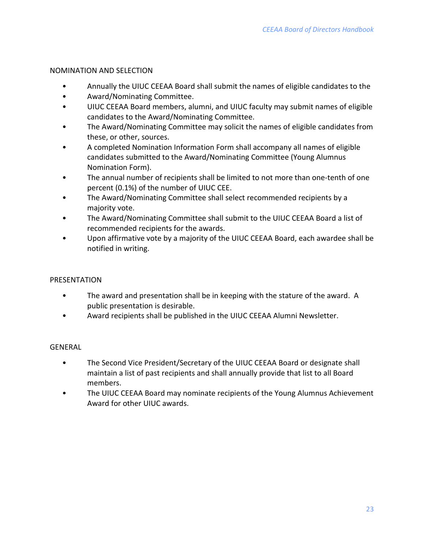## NOMINATION AND SELECTION

- Annually the UIUC CEEAA Board shall submit the names of eligible candidates to the
- Award/Nominating Committee.
- UIUC CEEAA Board members, alumni, and UIUC faculty may submit names of eligible candidates to the Award/Nominating Committee.
- The Award/Nominating Committee may solicit the names of eligible candidates from these, or other, sources.
- A completed Nomination Information Form shall accompany all names of eligible candidates submitted to the Award/Nominating Committee (Young Alumnus Nomination Form).
- The annual number of recipients shall be limited to not more than one-tenth of one percent (0.1%) of the number of UIUC CEE.
- The Award/Nominating Committee shall select recommended recipients by a majority vote.
- The Award/Nominating Committee shall submit to the UIUC CEEAA Board a list of recommended recipients for the awards.
- Upon affirmative vote by a majority of the UIUC CEEAA Board, each awardee shall be notified in writing.

# PRESENTATION

- The award and presentation shall be in keeping with the stature of the award. A public presentation is desirable.
- Award recipients shall be published in the UIUC CEEAA Alumni Newsletter.

# GENERAL

- The Second Vice President/Secretary of the UIUC CEEAA Board or designate shall maintain a list of past recipients and shall annually provide that list to all Board members.
- The UIUC CEEAA Board may nominate recipients of the Young Alumnus Achievement Award for other UIUC awards.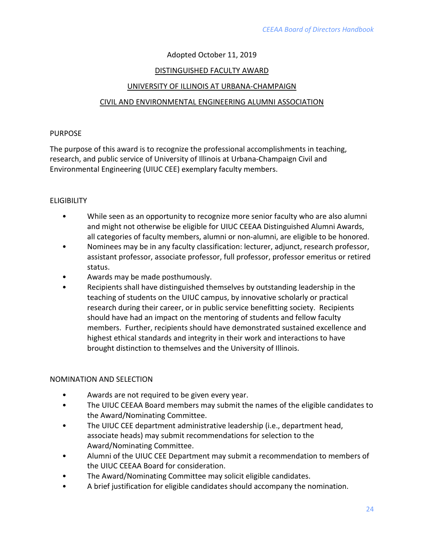# Adopted October 11, 2019

## DISTINGUISHED FACULTY AWARD

#### UNIVERSITY OF ILLINOIS AT URBANA-CHAMPAIGN

## CIVIL AND ENVIRONMENTAL ENGINEERING ALUMNI ASSOCIATION

#### PURPOSE

The purpose of this award is to recognize the professional accomplishments in teaching, research, and public service of University of Illinois at Urbana-Champaign Civil and Environmental Engineering (UIUC CEE) exemplary faculty members.

## **ELIGIBILITY**

- While seen as an opportunity to recognize more senior faculty who are also alumni and might not otherwise be eligible for UIUC CEEAA Distinguished Alumni Awards, all categories of faculty members, alumni or non-alumni, are eligible to be honored.
- Nominees may be in any faculty classification: lecturer, adjunct, research professor, assistant professor, associate professor, full professor, professor emeritus or retired status.
- Awards may be made posthumously.
- Recipients shall have distinguished themselves by outstanding leadership in the teaching of students on the UIUC campus, by innovative scholarly or practical research during their career, or in public service benefitting society. Recipients should have had an impact on the mentoring of students and fellow faculty members. Further, recipients should have demonstrated sustained excellence and highest ethical standards and integrity in their work and interactions to have brought distinction to themselves and the University of Illinois.

#### NOMINATION AND SELECTION

- Awards are not required to be given every year.
- The UIUC CEEAA Board members may submit the names of the eligible candidates to the Award/Nominating Committee.
- The UIUC CEE department administrative leadership (i.e., department head, associate heads) may submit recommendations for selection to the Award/Nominating Committee.
- Alumni of the UIUC CEE Department may submit a recommendation to members of the UIUC CEEAA Board for consideration.
- The Award/Nominating Committee may solicit eligible candidates.
- A brief justification for eligible candidates should accompany the nomination.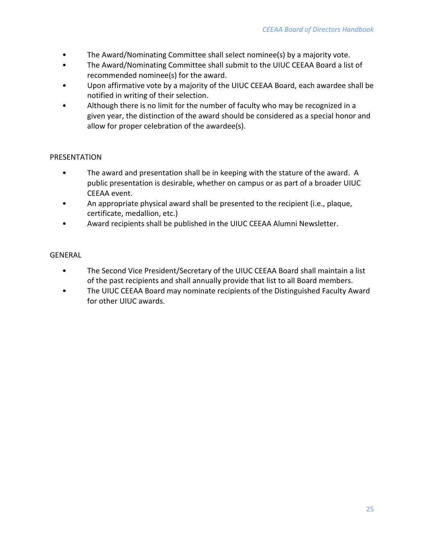- The Award/Nominating Committee shall select nominee(s) by a majority vote.
- The Award/Nominating Committee shall submit to the UIUC CEEAA Board a list of recommended nominee(s) for the award.
- Upon affirmative vote by a majority of the UIUC CEEAA Board, each awardee shall be notified in writing of their selection.
- Although there is no limit for the number of faculty who may be recognized in a given year, the distinction of the award should be considered as a special honor and allow for proper celebration of the awardee(s).

# PRESENTATION

- The award and presentation shall be in keeping with the stature of the award. A public presentation is desirable, whether on campus or as part of a broader UIUC CEEAA event.
- An appropriate physical award shall be presented to the recipient (i.e., plaque, certificate, medallion, etc.)
- Award recipients shall be published in the UIUC CEEAA Alumni Newsletter.

# GENERAL

- The Second Vice President/Secretary of the UIUC CEEAA Board shall maintain a list of the past recipients and shall annually provide that list to all Board members.
- The UIUC CEEAA Board may nominate recipients of the Distinguished Faculty Award for other UIUC awards.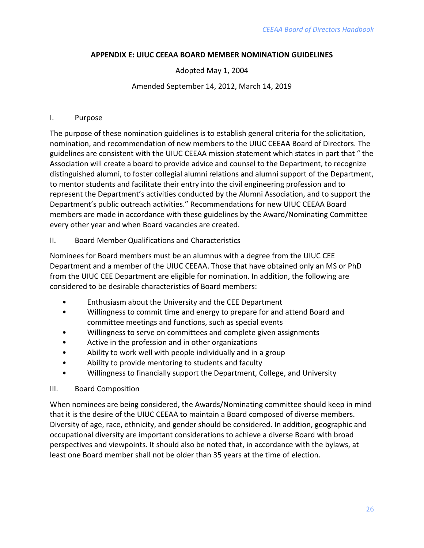## <span id="page-28-0"></span>**APPENDIX E: UIUC CEEAA BOARD MEMBER NOMINATION GUIDELINES**

## Adopted May 1, 2004

#### Amended September 14, 2012, March 14, 2019

#### I. Purpose

The purpose of these nomination guidelines is to establish general criteria for the solicitation, nomination, and recommendation of new members to the UIUC CEEAA Board of Directors. The guidelines are consistent with the UIUC CEEAA mission statement which states in part that " the Association will create a board to provide advice and counsel to the Department, to recognize distinguished alumni, to foster collegial alumni relations and alumni support of the Department, to mentor students and facilitate their entry into the civil engineering profession and to represent the Department's activities conducted by the Alumni Association, and to support the Department's public outreach activities." Recommendations for new UIUC CEEAA Board members are made in accordance with these guidelines by the Award/Nominating Committee every other year and when Board vacancies are created.

#### II. Board Member Qualifications and Characteristics

Nominees for Board members must be an alumnus with a degree from the UIUC CEE Department and a member of the UIUC CEEAA. Those that have obtained only an MS or PhD from the UIUC CEE Department are eligible for nomination. In addition, the following are considered to be desirable characteristics of Board members:

- Enthusiasm about the University and the CEE Department
- Willingness to commit time and energy to prepare for and attend Board and committee meetings and functions, such as special events
- Willingness to serve on committees and complete given assignments
- Active in the profession and in other organizations
- Ability to work well with people individually and in a group
- Ability to provide mentoring to students and faculty
- Willingness to financially support the Department, College, and University

#### III. Board Composition

When nominees are being considered, the Awards/Nominating committee should keep in mind that it is the desire of the UIUC CEEAA to maintain a Board composed of diverse members. Diversity of age, race, ethnicity, and gender should be considered. In addition, geographic and occupational diversity are important considerations to achieve a diverse Board with broad perspectives and viewpoints. It should also be noted that, in accordance with the bylaws, at least one Board member shall not be older than 35 years at the time of election.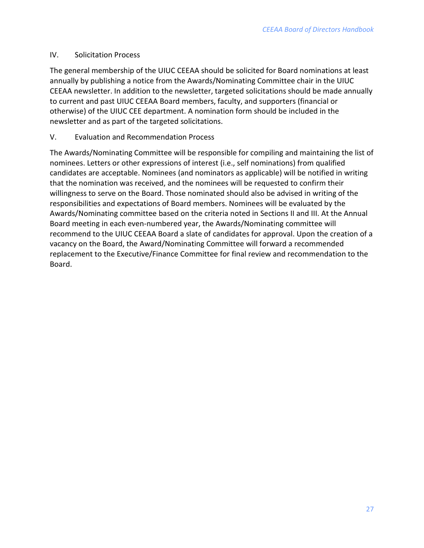## IV. Solicitation Process

The general membership of the UIUC CEEAA should be solicited for Board nominations at least annually by publishing a notice from the Awards/Nominating Committee chair in the UIUC CEEAA newsletter. In addition to the newsletter, targeted solicitations should be made annually to current and past UIUC CEEAA Board members, faculty, and supporters (financial or otherwise) of the UIUC CEE department. A nomination form should be included in the newsletter and as part of the targeted solicitations.

# V. Evaluation and Recommendation Process

The Awards/Nominating Committee will be responsible for compiling and maintaining the list of nominees. Letters or other expressions of interest (i.e., self nominations) from qualified candidates are acceptable. Nominees (and nominators as applicable) will be notified in writing that the nomination was received, and the nominees will be requested to confirm their willingness to serve on the Board. Those nominated should also be advised in writing of the responsibilities and expectations of Board members. Nominees will be evaluated by the Awards/Nominating committee based on the criteria noted in Sections II and III. At the Annual Board meeting in each even-numbered year, the Awards/Nominating committee will recommend to the UIUC CEEAA Board a slate of candidates for approval. Upon the creation of a vacancy on the Board, the Award/Nominating Committee will forward a recommended replacement to the Executive/Finance Committee for final review and recommendation to the Board.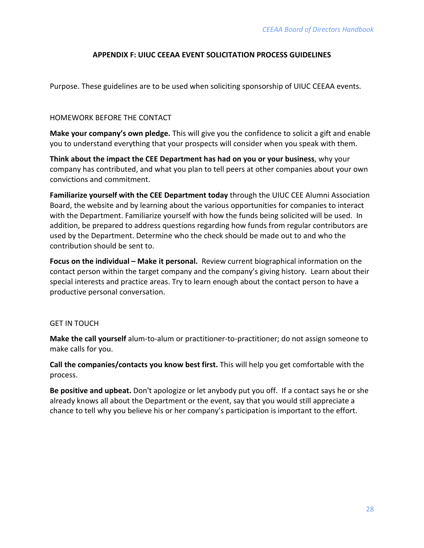## **APPENDIX F: UIUC CEEAA EVENT SOLICITATION PROCESS GUIDELINES**

<span id="page-30-0"></span>Purpose. These guidelines are to be used when soliciting sponsorship of UIUC CEEAA events.

#### HOMEWORK BEFORE THE CONTACT

**Make your company's own pledge.** This will give you the confidence to solicit a gift and enable you to understand everything that your prospects will consider when you speak with them.

**Think about the impact the CEE Department has had on you or your business**, why your company has contributed, and what you plan to tell peers at other companies about your own convictions and commitment.

**Familiarize yourself with the CEE Department today** through the UIUC CEE Alumni Association Board, the website and by learning about the various opportunities for companies to interact with the Department. Familiarize yourself with how the funds being solicited will be used. In addition, be prepared to address questions regarding how funds from regular contributors are used by the Department. Determine who the check should be made out to and who the contribution should be sent to.

**Focus on the individual – Make it personal.** Review current biographical information on the contact person within the target company and the company's giving history. Learn about their special interests and practice areas. Try to learn enough about the contact person to have a productive personal conversation.

#### GET IN TOUCH

**Make the call yourself** alum-to-alum or practitioner-to-practitioner; do not assign someone to make calls for you.

**Call the companies/contacts you know best first.** This will help you get comfortable with the process.

**Be positive and upbeat.** Don't apologize or let anybody put you off. If a contact says he or she already knows all about the Department or the event, say that you would still appreciate a chance to tell why you believe his or her company's participation is important to the effort.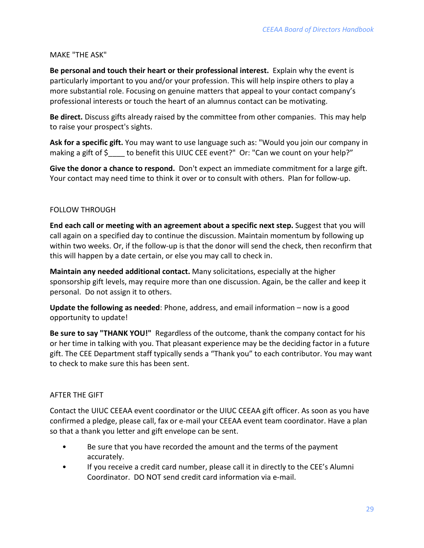#### MAKE "THE ASK"

**Be personal and touch their heart or their professional interest.** Explain why the event is particularly important to you and/or your profession. This will help inspire others to play a more substantial role. Focusing on genuine matters that appeal to your contact company's professional interests or touch the heart of an alumnus contact can be motivating.

**Be direct.** Discuss gifts already raised by the committee from other companies. This may help to raise your prospect's sights.

**Ask for a specific gift.** You may want to use language such as: "Would you join our company in making a gift of \$\_\_\_\_ to benefit this UIUC CEE event?" Or: "Can we count on your help?"

**Give the donor a chance to respond.** Don't expect an immediate commitment for a large gift. Your contact may need time to think it over or to consult with others. Plan for follow-up.

#### FOLLOW THROUGH

**End each call or meeting with an agreement about a specific next step.** Suggest that you will call again on a specified day to continue the discussion. Maintain momentum by following up within two weeks. Or, if the follow-up is that the donor will send the check, then reconfirm that this will happen by a date certain, or else you may call to check in.

**Maintain any needed additional contact.** Many solicitations, especially at the higher sponsorship gift levels, may require more than one discussion. Again, be the caller and keep it personal. Do not assign it to others.

**Update the following as needed**: Phone, address, and email information – now is a good opportunity to update!

**Be sure to say "THANK YOU!"** Regardless of the outcome, thank the company contact for his or her time in talking with you. That pleasant experience may be the deciding factor in a future gift. The CEE Department staff typically sends a "Thank you" to each contributor. You may want to check to make sure this has been sent.

# AFTER THE GIFT

Contact the UIUC CEEAA event coordinator or the UIUC CEEAA gift officer. As soon as you have confirmed a pledge, please call, fax or e-mail your CEEAA event team coordinator. Have a plan so that a thank you letter and gift envelope can be sent.

- Be sure that you have recorded the amount and the terms of the payment accurately.
- If you receive a credit card number, please call it in directly to the CEE's Alumni Coordinator. DO NOT send credit card information via e-mail.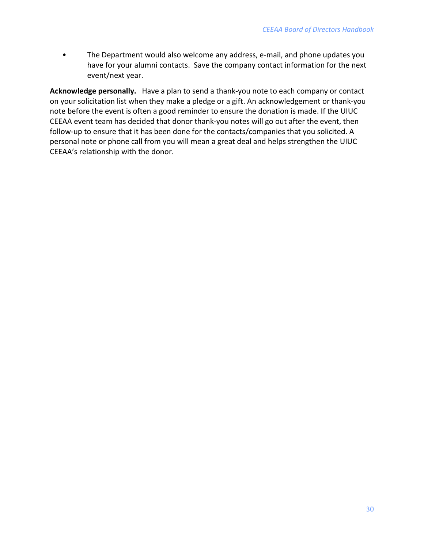• The Department would also welcome any address, e-mail, and phone updates you have for your alumni contacts. Save the company contact information for the next event/next year.

**Acknowledge personally.** Have a plan to send a thank-you note to each company or contact on your solicitation list when they make a pledge or a gift. An acknowledgement or thank-you note before the event is often a good reminder to ensure the donation is made. If the UIUC CEEAA event team has decided that donor thank-you notes will go out after the event, then follow-up to ensure that it has been done for the contacts/companies that you solicited. A personal note or phone call from you will mean a great deal and helps strengthen the UIUC CEEAA's relationship with the donor.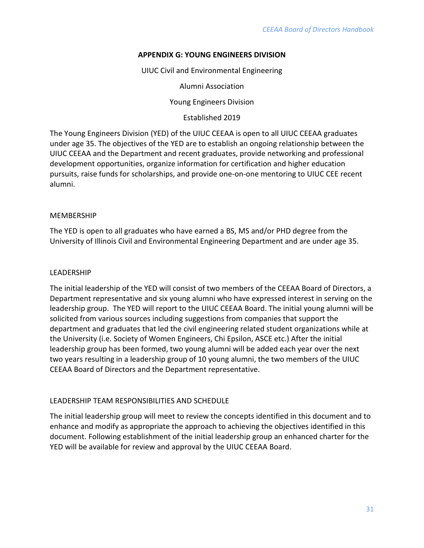## **APPENDIX G: YOUNG ENGINEERS DIVISION**

UIUC Civil and Environmental Engineering

Alumni Association

Young Engineers Division

Established 2019

<span id="page-34-0"></span>The Young Engineers Division (YED) of the UIUC CEEAA is open to all UIUC CEEAA graduates under age 35. The objectives of the YED are to establish an ongoing relationship between the UIUC CEEAA and the Department and recent graduates, provide networking and professional development opportunities, organize information for certification and higher education pursuits, raise funds for scholarships, and provide one-on-one mentoring to UIUC CEE recent alumni.

#### MEMBERSHIP

The YED is open to all graduates who have earned a BS, MS and/or PHD degree from the University of Illinois Civil and Environmental Engineering Department and are under age 35.

## **LEADERSHIP**

The initial leadership of the YED will consist of two members of the CEEAA Board of Directors, a Department representative and six young alumni who have expressed interest in serving on the leadership group. The YED will report to the UIUC CEEAA Board. The initial young alumni will be solicited from various sources including suggestions from companies that support the department and graduates that led the civil engineering related student organizations while at the University (i.e. Society of Women Engineers, Chi Epsilon, ASCE etc.) After the initial leadership group has been formed, two young alumni will be added each year over the next two years resulting in a leadership group of 10 young alumni, the two members of the UIUC CEEAA Board of Directors and the Department representative.

# LEADERSHIP TEAM RESPONSIBILITIES AND SCHEDULE

The initial leadership group will meet to review the concepts identified in this document and to enhance and modify as appropriate the approach to achieving the objectives identified in this document. Following establishment of the initial leadership group an enhanced charter for the YED will be available for review and approval by the UIUC CEEAA Board.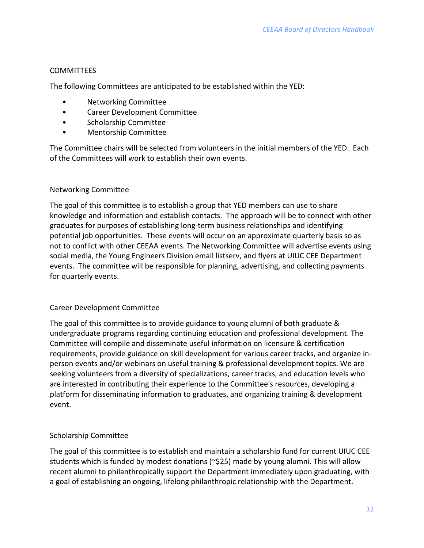## **COMMITTEES**

The following Committees are anticipated to be established within the YED:

- Networking Committee
- Career Development Committee
- Scholarship Committee
- Mentorship Committee

The Committee chairs will be selected from volunteers in the initial members of the YED. Each of the Committees will work to establish their own events.

#### Networking Committee

The goal of this committee is to establish a group that YED members can use to share knowledge and information and establish contacts. The approach will be to connect with other graduates for purposes of establishing long-term business relationships and identifying potential job opportunities. These events will occur on an approximate quarterly basis so as not to conflict with other CEEAA events. The Networking Committee will advertise events using social media, the Young Engineers Division email listserv, and flyers at UIUC CEE Department events. The committee will be responsible for planning, advertising, and collecting payments for quarterly events.

#### Career Development Committee

The goal of this committee is to provide guidance to young alumni of both graduate & undergraduate programs regarding continuing education and professional development. The Committee will compile and disseminate useful information on licensure & certification requirements, provide guidance on skill development for various career tracks, and organize inperson events and/or webinars on useful training & professional development topics. We are seeking volunteers from a diversity of specializations, career tracks, and education levels who are interested in contributing their experience to the Committee's resources, developing a platform for disseminating information to graduates, and organizing training & development event.

# Scholarship Committee

The goal of this committee is to establish and maintain a scholarship fund for current UIUC CEE students which is funded by modest donations (~\$25) made by young alumni. This will allow recent alumni to philanthropically support the Department immediately upon graduating, with a goal of establishing an ongoing, lifelong philanthropic relationship with the Department.